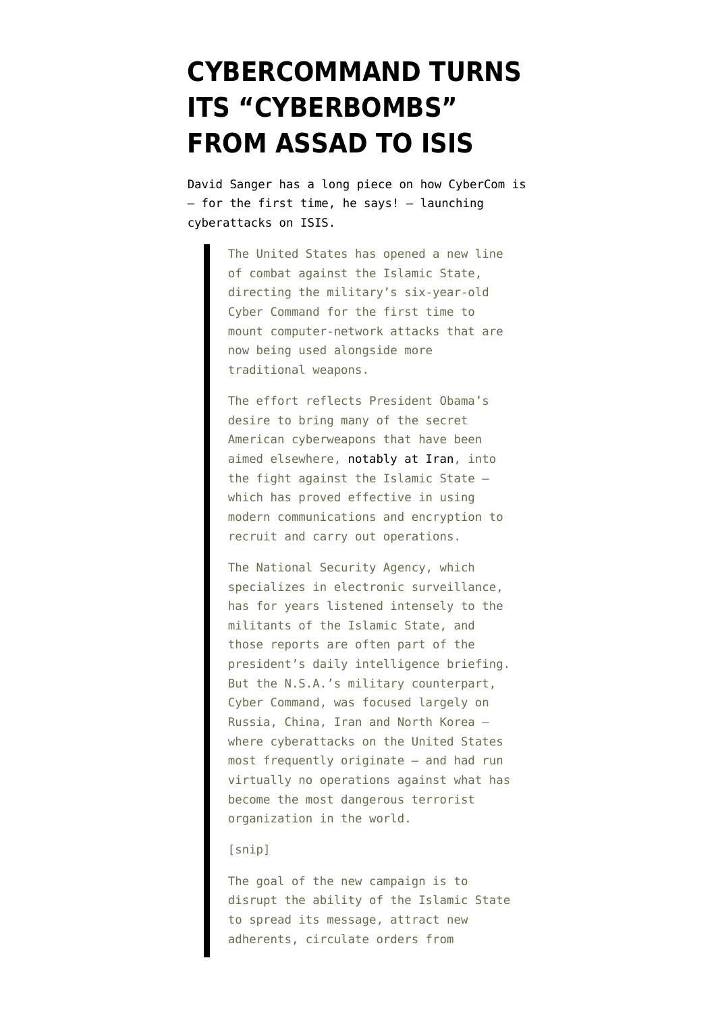## **[CYBERCOMMAND TURNS](https://www.emptywheel.net/2016/04/25/cybercommand-turns-its-cyberbombs-from-assad-to-isis/) [ITS "CYBERBOMBS"](https://www.emptywheel.net/2016/04/25/cybercommand-turns-its-cyberbombs-from-assad-to-isis/) [FROM ASSAD TO ISIS](https://www.emptywheel.net/2016/04/25/cybercommand-turns-its-cyberbombs-from-assad-to-isis/)**

David Sanger has a [long piece](http://www.nytimes.com/2016/04/25/us/politics/us-directs-cyberweapons-at-isis-for-first-time.html?_r=0) on how CyberCom is — for the first time, he says! — launching cyberattacks on ISIS.

> The United States has opened a new line of combat against the Islamic State, directing the military's six-year-old Cyber Command for the first time to mount computer-network attacks that are now being used alongside more traditional weapons.

> The effort reflects President Obama's desire to bring many of the secret American cyberweapons that have been aimed elsewhere, [notably at Iran](http://www.nytimes.com/2012/06/01/world/middleeast/obama-ordered-wave-of-cyberattacks-against-iran.html), into the fight against the Islamic State which has proved effective in using modern communications and encryption to recruit and carry out operations.

The National Security Agency, which specializes in electronic surveillance, has for years listened intensely to the militants of the Islamic State, and those reports are often part of the president's daily intelligence briefing. But the N.S.A.'s military counterpart, Cyber Command, was focused largely on Russia, China, Iran and North Korea where cyberattacks on the United States most frequently originate — and had run virtually no operations against what has become the most dangerous terrorist organization in the world.

## [snip]

The goal of the new campaign is to disrupt the ability of the Islamic State to spread its message, attract new adherents, circulate orders from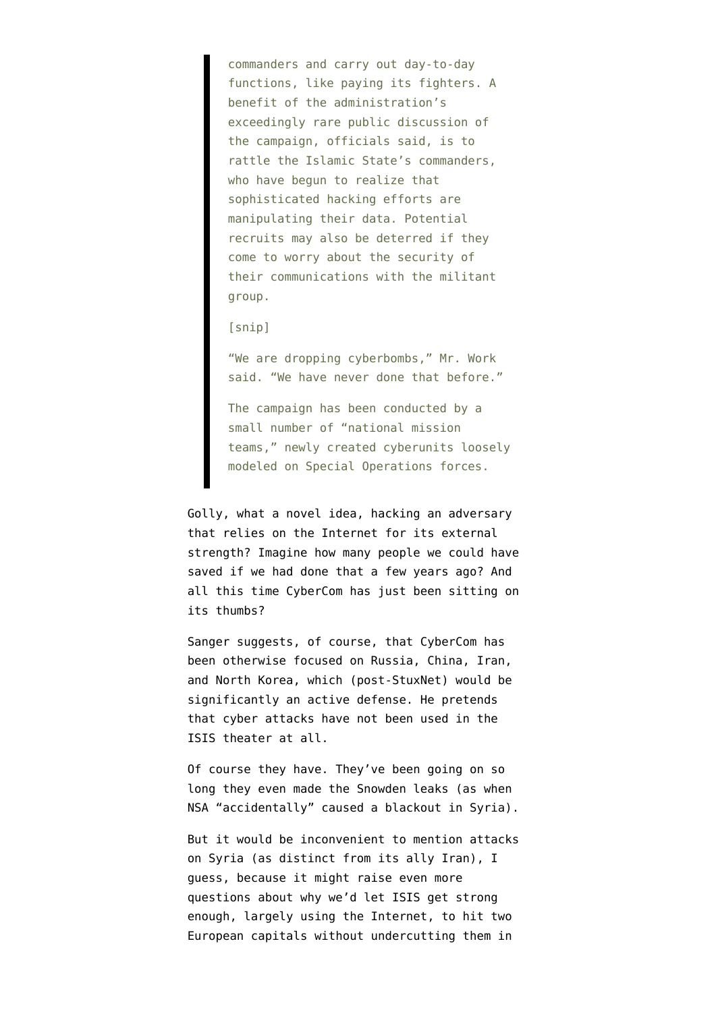commanders and carry out day-to-day functions, like paying its fighters. A benefit of the administration's exceedingly rare public discussion of the campaign, officials said, is to rattle the Islamic State's commanders, who have begun to realize that sophisticated hacking efforts are manipulating their data. Potential recruits may also be deterred if they come to worry about the security of their communications with the militant group.

## [snip]

"We are dropping cyberbombs," Mr. Work said. "We have never done that before."

The campaign has been conducted by a small number of "national mission teams," newly created cyberunits loosely modeled on Special Operations forces.

Golly, what a novel idea, hacking an adversary that relies on the Internet for its external strength? Imagine how many people we could have saved if we had done that a few years ago? And all this time CyberCom has just been sitting on its thumbs?

Sanger suggests, of course, that CyberCom has been otherwise focused on Russia, China, Iran, and North Korea, which (post-StuxNet) would be significantly an active defense. He pretends that cyber attacks have not been used in the ISIS theater at all.

Of course they have. They've been going on so long they even made the Snowden leaks (as when NSA "accidentally" caused a blackout in Syria).

But it would be inconvenient to mention attacks on Syria (as distinct from its ally Iran), I guess, because it might raise even more questions about why we'd let ISIS get strong enough, largely using the Internet, to hit two European capitals without undercutting them in